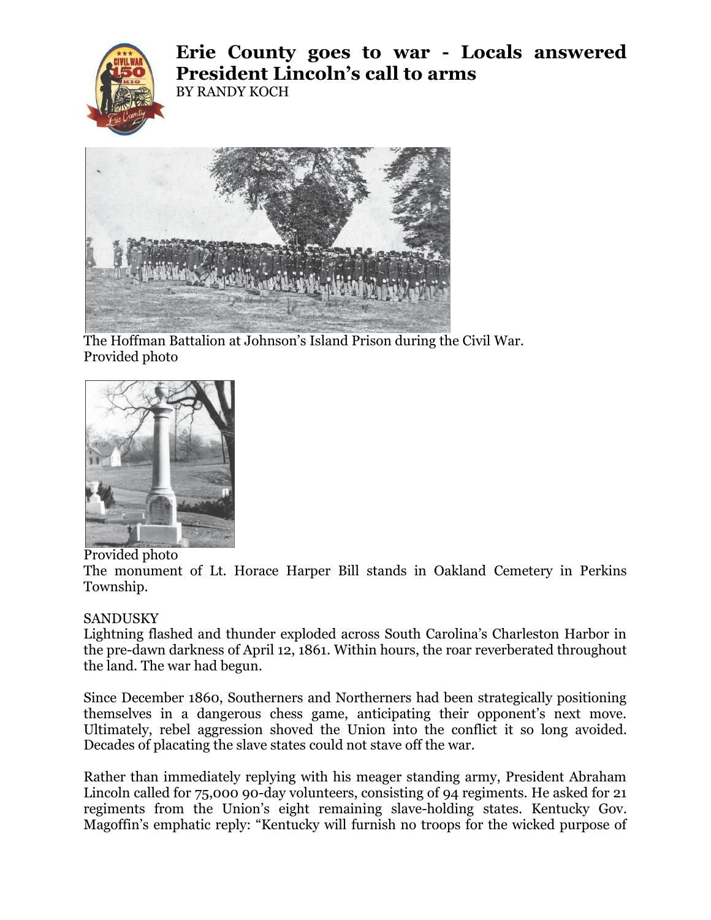

**Erie County goes to war - Locals answered President Lincoln's call to arms** BY RANDY KOCH



The Hoffman Battalion at Johnson's Island Prison during the Civil War. Provided photo



Provided photo

The monument of Lt. Horace Harper Bill stands in Oakland Cemetery in Perkins Township.

## SANDUSKY

Lightning flashed and thunder exploded across South Carolina's Charleston Harbor in the pre-dawn darkness of April 12, 1861. Within hours, the roar reverberated throughout the land. The war had begun.

Since December 1860, Southerners and Northerners had been strategically positioning themselves in a dangerous chess game, anticipating their opponent's next move. Ultimately, rebel aggression shoved the Union into the conflict it so long avoided. Decades of placating the slave states could not stave off the war.

Rather than immediately replying with his meager standing army, President Abraham Lincoln called for 75,000 90-day volunteers, consisting of 94 regiments. He asked for 21 regiments from the Union's eight remaining slave-holding states. Kentucky Gov. Magoffin's emphatic reply: "Kentucky will furnish no troops for the wicked purpose of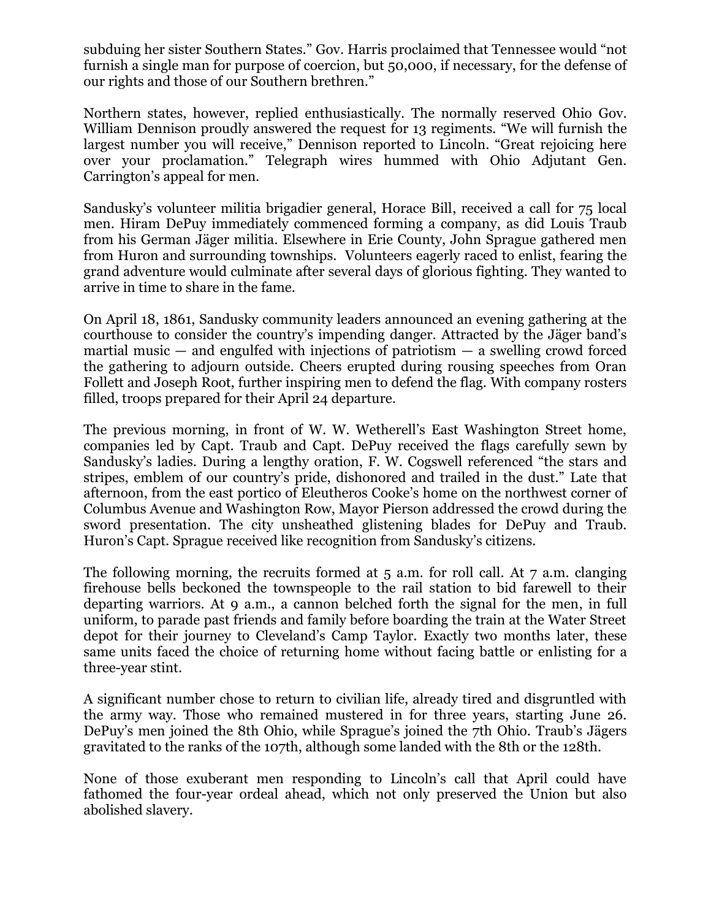subduing her sister Southern States." Gov. Harris proclaimed that Tennessee would "not furnish a single man for purpose of coercion, but 50,000, if necessary, for the defense of our rights and those of our Southern brethren."

Northern states, however, replied enthusiastically. The normally reserved Ohio Gov. William Dennison proudly answered the request for 13 regiments. "We will furnish the largest number you will receive," Dennison reported to Lincoln. "Great rejoicing here over your proclamation." Telegraph wires hummed with Ohio Adjutant Gen. Carrington's appeal for men.

Sandusky's volunteer militia brigadier general, Horace Bill, received a call for 75 local men. Hiram DePuy immediately commenced forming a company, as did Louis Traub from his German Jäger militia. Elsewhere in Erie County, John Sprague gathered men from Huron and surrounding townships. Volunteers eagerly raced to enlist, fearing the grand adventure would culminate after several days of glorious fighting. They wanted to arrive in time to share in the fame.

On April 18, 1861, Sandusky community leaders announced an evening gathering at the courthouse to consider the country's impending danger. Attracted by the Jäger band's martial music  $-$  and engulfed with injections of patriotism  $-$  a swelling crowd forced the gathering to adjourn outside. Cheers erupted during rousing speeches from Oran Follett and Joseph Root, further inspiring men to defend the flag. With company rosters filled, troops prepared for their April 24 departure.

The previous morning, in front of W. W. Wetherell's East Washington Street home, companies led by Capt. Traub and Capt. DePuy received the flags carefully sewn by Sandusky's ladies. During a lengthy oration, F. W. Cogswell referenced "the stars and stripes, emblem of our country's pride, dishonored and trailed in the dust." Late that afternoon, from the east portico of Eleutheros Cooke's home on the northwest corner of Columbus Avenue and Washington Row, Mayor Pierson addressed the crowd during the sword presentation. The city unsheathed glistening blades for DePuy and Traub. Huron's Capt. Sprague received like recognition from Sandusky's citizens.

The following morning, the recruits formed at 5 a.m. for roll call. At 7 a.m. clanging firehouse bells beckoned the townspeople to the rail station to bid farewell to their departing warriors. At 9 a.m., a cannon belched forth the signal for the men, in full uniform, to parade past friends and family before boarding the train at the Water Street depot for their journey to Cleveland's Camp Taylor. Exactly two months later, these same units faced the choice of returning home without facing battle or enlisting for a three-year stint.

A significant number chose to return to civilian life, already tired and disgruntled with the army way. Those who remained mustered in for three years, starting June 26. DePuy's men joined the 8th Ohio, while Sprague's joined the 7th Ohio. Traub's Jägers gravitated to the ranks of the 107th, although some landed with the 8th or the 128th.

None of those exuberant men responding to Lincoln's call that April could have fathomed the four-year ordeal ahead, which not only preserved the Union but also abolished slavery.